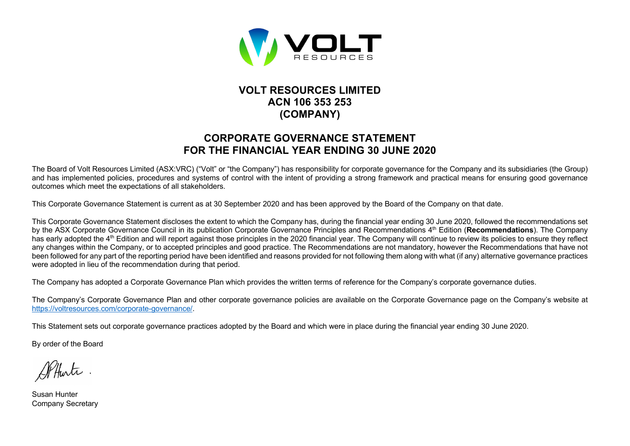

## **VOLT RESOURCES LIMITED ACN 106 353 253 (COMPANY)**

## **CORPORATE GOVERNANCE STATEMENT FOR THE FINANCIAL YEAR ENDING 30 JUNE 2020**

The Board of Volt Resources Limited (ASX:VRC) ("Volt" or "the Company") has responsibility for corporate governance for the Company and its subsidiaries (the Group) and has implemented policies, procedures and systems of control with the intent of providing a strong framework and practical means for ensuring good governance outcomes which meet the expectations of all stakeholders.

This Corporate Governance Statement is current as at 30 September 2020 and has been approved by the Board of the Company on that date.

This Corporate Governance Statement discloses the extent to which the Company has, during the financial year ending 30 June 2020, followed the recommendations set by the ASX Corporate Governance Council in its publication Corporate Governance Principles and Recommendations 4th Edition (**Recommendations**). The Company has early adopted the 4<sup>th</sup> Edition and will report against those principles in the 2020 financial year. The Company will continue to review its policies to ensure they reflect any changes within the Company, or to accepted principles and good practice. The Recommendations are not mandatory, however the Recommendations that have not been followed for any part of the reporting period have been identified and reasons provided for not following them along with what (if any) alternative governance practices were adopted in lieu of the recommendation during that period.

The Company has adopted a Corporate Governance Plan which provides the written terms of reference for the Company's corporate governance duties.

The Company's Corporate Governance Plan and other corporate governance policies are available on the Corporate Governance page on the Company's website at https://voltresources.com/corporate-governance/.

This Statement sets out corporate governance practices adopted by the Board and which were in place during the financial year ending 30 June 2020.

By order of the Board

Susan Hunter Company Secretary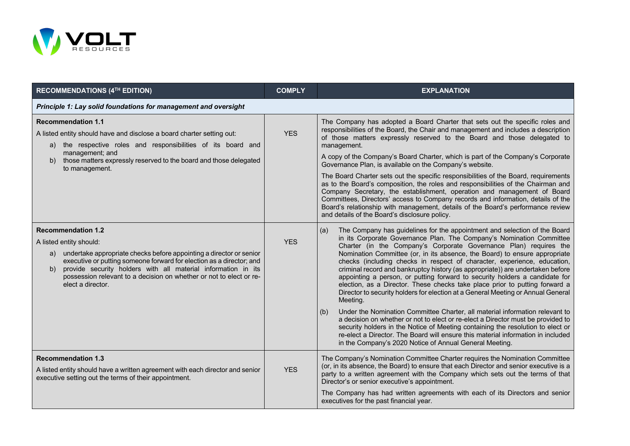

| <b>RECOMMENDATIONS (4TH EDITION)</b>                                                                                                                                                                                                                                                                                                                                         | <b>COMPLY</b> | <b>EXPLANATION</b>                                                                                                                                                                                                                                                                                                                                                                                                                                                                                                                                                                                                                                                                                                                                                                                                                                                                                                                                                                                                                                                                                                                                   |  |  |  |  |
|------------------------------------------------------------------------------------------------------------------------------------------------------------------------------------------------------------------------------------------------------------------------------------------------------------------------------------------------------------------------------|---------------|------------------------------------------------------------------------------------------------------------------------------------------------------------------------------------------------------------------------------------------------------------------------------------------------------------------------------------------------------------------------------------------------------------------------------------------------------------------------------------------------------------------------------------------------------------------------------------------------------------------------------------------------------------------------------------------------------------------------------------------------------------------------------------------------------------------------------------------------------------------------------------------------------------------------------------------------------------------------------------------------------------------------------------------------------------------------------------------------------------------------------------------------------|--|--|--|--|
| Principle 1: Lay solid foundations for management and oversight                                                                                                                                                                                                                                                                                                              |               |                                                                                                                                                                                                                                                                                                                                                                                                                                                                                                                                                                                                                                                                                                                                                                                                                                                                                                                                                                                                                                                                                                                                                      |  |  |  |  |
| <b>Recommendation 1.1</b><br>A listed entity should have and disclose a board charter setting out:<br>the respective roles and responsibilities of its board and<br>a)<br>management; and<br>those matters expressly reserved to the board and those delegated<br>b)<br>to management.                                                                                       | <b>YES</b>    | The Company has adopted a Board Charter that sets out the specific roles and<br>responsibilities of the Board, the Chair and management and includes a description<br>of those matters expressly reserved to the Board and those delegated to<br>management.<br>A copy of the Company's Board Charter, which is part of the Company's Corporate<br>Governance Plan, is available on the Company's website.<br>The Board Charter sets out the specific responsibilities of the Board, requirements<br>as to the Board's composition, the roles and responsibilities of the Chairman and<br>Company Secretary, the establishment, operation and management of Board<br>Committees, Directors' access to Company records and information, details of the<br>Board's relationship with management, details of the Board's performance review<br>and details of the Board's disclosure policy.                                                                                                                                                                                                                                                            |  |  |  |  |
| <b>Recommendation 1.2</b><br>A listed entity should:<br>undertake appropriate checks before appointing a director or senior<br>a)<br>executive or putting someone forward for election as a director; and<br>provide security holders with all material information in its<br>b)<br>possession relevant to a decision on whether or not to elect or re-<br>elect a director. | <b>YES</b>    | The Company has guidelines for the appointment and selection of the Board<br>(a)<br>in its Corporate Governance Plan. The Company's Nomination Committee<br>Charter (in the Company's Corporate Governance Plan) requires the<br>Nomination Committee (or, in its absence, the Board) to ensure appropriate<br>checks (including checks in respect of character, experience, education,<br>criminal record and bankruptcy history (as appropriate)) are undertaken before<br>appointing a person, or putting forward to security holders a candidate for<br>election, as a Director. These checks take place prior to putting forward a<br>Director to security holders for election at a General Meeting or Annual General<br>Meeting.<br>Under the Nomination Committee Charter, all material information relevant to<br>(b)<br>a decision on whether or not to elect or re-elect a Director must be provided to<br>security holders in the Notice of Meeting containing the resolution to elect or<br>re-elect a Director. The Board will ensure this material information in included<br>in the Company's 2020 Notice of Annual General Meeting. |  |  |  |  |
| <b>Recommendation 1.3</b><br>A listed entity should have a written agreement with each director and senior<br>executive setting out the terms of their appointment.                                                                                                                                                                                                          | <b>YES</b>    | The Company's Nomination Committee Charter requires the Nomination Committee<br>(or, in its absence, the Board) to ensure that each Director and senior executive is a<br>party to a written agreement with the Company which sets out the terms of that<br>Director's or senior executive's appointment.<br>The Company has had written agreements with each of its Directors and senior<br>executives for the past financial year.                                                                                                                                                                                                                                                                                                                                                                                                                                                                                                                                                                                                                                                                                                                 |  |  |  |  |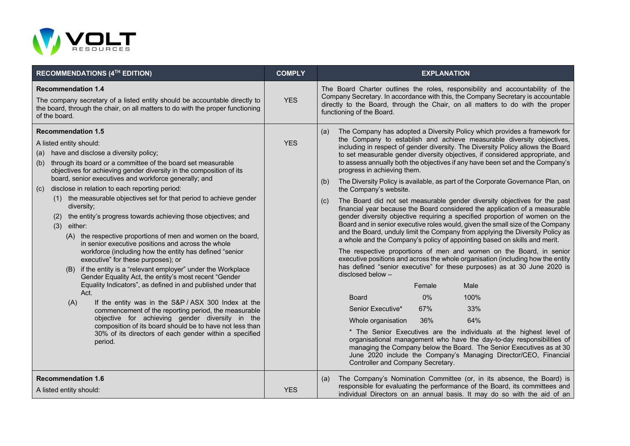

| RECOMMENDATIONS (4TH EDITION)                                                                                                                                                                                                                                                                                                                                                                                                                                                                                                                                                                                                                                                                                                                                                                                                                                                                                                                                                                                                                                                                                                                                                                                                                                                  | <b>COMPLY</b> | <b>EXPLANATION</b>                                                                                                                                                                                                                                                                                                                                                                                                                                                                                                                                                                                                                                                                                                                                                                                                                                                                                                                                                                                                                                                                                                                                                                                                                                                                                                                                                                                                                                                                                                                                                                                                                                                                                                                                                                     |
|--------------------------------------------------------------------------------------------------------------------------------------------------------------------------------------------------------------------------------------------------------------------------------------------------------------------------------------------------------------------------------------------------------------------------------------------------------------------------------------------------------------------------------------------------------------------------------------------------------------------------------------------------------------------------------------------------------------------------------------------------------------------------------------------------------------------------------------------------------------------------------------------------------------------------------------------------------------------------------------------------------------------------------------------------------------------------------------------------------------------------------------------------------------------------------------------------------------------------------------------------------------------------------|---------------|----------------------------------------------------------------------------------------------------------------------------------------------------------------------------------------------------------------------------------------------------------------------------------------------------------------------------------------------------------------------------------------------------------------------------------------------------------------------------------------------------------------------------------------------------------------------------------------------------------------------------------------------------------------------------------------------------------------------------------------------------------------------------------------------------------------------------------------------------------------------------------------------------------------------------------------------------------------------------------------------------------------------------------------------------------------------------------------------------------------------------------------------------------------------------------------------------------------------------------------------------------------------------------------------------------------------------------------------------------------------------------------------------------------------------------------------------------------------------------------------------------------------------------------------------------------------------------------------------------------------------------------------------------------------------------------------------------------------------------------------------------------------------------------|
| <b>Recommendation 1.4</b><br>The company secretary of a listed entity should be accountable directly to<br>the board, through the chair, on all matters to do with the proper functioning<br>of the board.                                                                                                                                                                                                                                                                                                                                                                                                                                                                                                                                                                                                                                                                                                                                                                                                                                                                                                                                                                                                                                                                     | <b>YES</b>    | The Board Charter outlines the roles, responsibility and accountability of the<br>Company Secretary. In accordance with this, the Company Secretary is accountable<br>directly to the Board, through the Chair, on all matters to do with the proper<br>functioning of the Board.                                                                                                                                                                                                                                                                                                                                                                                                                                                                                                                                                                                                                                                                                                                                                                                                                                                                                                                                                                                                                                                                                                                                                                                                                                                                                                                                                                                                                                                                                                      |
| <b>Recommendation 1.5</b><br>A listed entity should:<br>(a) have and disclose a diversity policy;<br>(b) through its board or a committee of the board set measurable<br>objectives for achieving gender diversity in the composition of its<br>board, senior executives and workforce generally; and<br>disclose in relation to each reporting period:<br>(c)<br>(1) the measurable objectives set for that period to achieve gender<br>diversity;<br>(2) the entity's progress towards achieving those objectives; and<br>$(3)$ either:<br>(A) the respective proportions of men and women on the board,<br>in senior executive positions and across the whole<br>workforce (including how the entity has defined "senior<br>executive" for these purposes); or<br>(B) if the entity is a "relevant employer" under the Workplace<br>Gender Equality Act, the entity's most recent "Gender<br>Equality Indicators", as defined in and published under that<br>Act.<br>(A)<br>If the entity was in the S&P / ASX 300 Index at the<br>commencement of the reporting period, the measurable<br>objective for achieving gender diversity in the<br>composition of its board should be to have not less than<br>30% of its directors of each gender within a specified<br>period. | <b>YES</b>    | The Company has adopted a Diversity Policy which provides a framework for<br>(a)<br>the Company to establish and achieve measurable diversity objectives,<br>including in respect of gender diversity. The Diversity Policy allows the Board<br>to set measurable gender diversity objectives, if considered appropriate, and<br>to assess annually both the objectives if any have been set and the Company's<br>progress in achieving them.<br>The Diversity Policy is available, as part of the Corporate Governance Plan, on<br>(b)<br>the Company's website.<br>The Board did not set measurable gender diversity objectives for the past<br>(c)<br>financial year because the Board considered the application of a measurable<br>gender diversity objective requiring a specified proportion of women on the<br>Board and in senior executive roles would, given the small size of the Company<br>and the Board, unduly limit the Company from applying the Diversity Policy as<br>a whole and the Company's policy of appointing based on skills and merit.<br>The respective proportions of men and women on the Board, in senior<br>executive positions and across the whole organisation (including how the entity<br>has defined "senior executive" for these purposes) as at 30 June 2020 is<br>disclosed below -<br>Male<br>Female<br>0%<br>100%<br><b>Board</b><br>67%<br>33%<br>Senior Executive*<br>36%<br>64%<br>Whole organisation<br>* The Senior Executives are the individuals at the highest level of<br>organisational management who have the day-to-day responsibilities of<br>managing the Company below the Board. The Senior Executives as at 30<br>June 2020 include the Company's Managing Director/CEO, Financial<br>Controller and Company Secretary. |
| <b>Recommendation 1.6</b><br>A listed entity should:                                                                                                                                                                                                                                                                                                                                                                                                                                                                                                                                                                                                                                                                                                                                                                                                                                                                                                                                                                                                                                                                                                                                                                                                                           | <b>YES</b>    | The Company's Nomination Committee (or, in its absence, the Board) is<br>(a)<br>responsible for evaluating the performance of the Board, its committees and<br>individual Directors on an annual basis. It may do so with the aid of an                                                                                                                                                                                                                                                                                                                                                                                                                                                                                                                                                                                                                                                                                                                                                                                                                                                                                                                                                                                                                                                                                                                                                                                                                                                                                                                                                                                                                                                                                                                                                |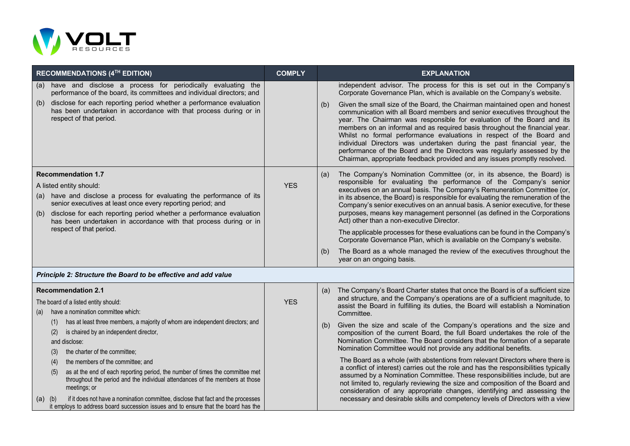

| RECOMMENDATIONS (4TH EDITION)                                                                                                                                                                                                                                                                                                                                                | <b>COMPLY</b> | <b>EXPLANATION</b>                                                                                                                                                                                                                                                                                                                                                                                                                                                                                                                                                                                                                                                                                                                                                                                      |
|------------------------------------------------------------------------------------------------------------------------------------------------------------------------------------------------------------------------------------------------------------------------------------------------------------------------------------------------------------------------------|---------------|---------------------------------------------------------------------------------------------------------------------------------------------------------------------------------------------------------------------------------------------------------------------------------------------------------------------------------------------------------------------------------------------------------------------------------------------------------------------------------------------------------------------------------------------------------------------------------------------------------------------------------------------------------------------------------------------------------------------------------------------------------------------------------------------------------|
| have and disclose a process for periodically evaluating the<br>(a)<br>performance of the board, its committees and individual directors; and                                                                                                                                                                                                                                 |               | independent advisor. The process for this is set out in the Company's<br>Corporate Governance Plan, which is available on the Company's website.                                                                                                                                                                                                                                                                                                                                                                                                                                                                                                                                                                                                                                                        |
| disclose for each reporting period whether a performance evaluation<br>(b)<br>has been undertaken in accordance with that process during or in<br>respect of that period.                                                                                                                                                                                                    |               | Given the small size of the Board, the Chairman maintained open and honest<br>(b)<br>communication with all Board members and senior executives throughout the<br>year. The Chairman was responsible for evaluation of the Board and its<br>members on an informal and as required basis throughout the financial year.<br>Whilst no formal performance evaluations in respect of the Board and<br>individual Directors was undertaken during the past financial year, the<br>performance of the Board and the Directors was regularly assessed by the<br>Chairman, appropriate feedback provided and any issues promptly resolved.                                                                                                                                                                     |
| <b>Recommendation 1.7</b><br>A listed entity should:<br>have and disclose a process for evaluating the performance of its<br>(a)<br>senior executives at least once every reporting period; and<br>disclose for each reporting period whether a performance evaluation<br>(b)<br>has been undertaken in accordance with that process during or in<br>respect of that period. | <b>YES</b>    | The Company's Nomination Committee (or, in its absence, the Board) is<br>(a)<br>responsible for evaluating the performance of the Company's senior<br>executives on an annual basis. The Company's Remuneration Committee (or,<br>in its absence, the Board) is responsible for evaluating the remuneration of the<br>Company's senior executives on an annual basis. A senior executive, for these<br>purposes, means key management personnel (as defined in the Corporations<br>Act) other than a non-executive Director.<br>The applicable processes for these evaluations can be found in the Company's<br>Corporate Governance Plan, which is available on the Company's website.<br>The Board as a whole managed the review of the executives throughout the<br>(b)<br>year on an ongoing basis. |

## *Principle 2: Structure the Board to be effective and add value*

| (a)         | <b>Recommendation 2.1</b><br>The board of a listed entity should:<br>have a nomination committee which:                                                                              | YES. | (a) | The Company's Board Charter states that once the Board is of a sufficient size<br>and structure, and the Company's operations are of a sufficient magnitude, to<br>assist the Board in fulfilling its duties, the Board will establish a Nomination<br>Committee.                                                             |
|-------------|--------------------------------------------------------------------------------------------------------------------------------------------------------------------------------------|------|-----|-------------------------------------------------------------------------------------------------------------------------------------------------------------------------------------------------------------------------------------------------------------------------------------------------------------------------------|
|             | has at least three members, a majority of whom are independent directors; and<br>(1)                                                                                                 |      | (b) | Given the size and scale of the Company's operations and the size and                                                                                                                                                                                                                                                         |
|             | is chaired by an independent director,<br>(2)                                                                                                                                        |      |     | composition of the current Board, the full Board undertakes the role of the<br>Nomination Committee. The Board considers that the formation of a separate                                                                                                                                                                     |
|             | and disclose:                                                                                                                                                                        |      |     |                                                                                                                                                                                                                                                                                                                               |
|             | the charter of the committee:<br>(3)                                                                                                                                                 |      |     | Nomination Committee would not provide any additional benefits.                                                                                                                                                                                                                                                               |
|             | the members of the committee; and<br>(4)                                                                                                                                             |      |     | The Board as a whole (with abstentions from relevant Directors where there is                                                                                                                                                                                                                                                 |
|             | as at the end of each reporting period, the number of times the committee met<br>(5)<br>throughout the period and the individual attendances of the members at those<br>meetings; or |      |     | a conflict of interest) carries out the role and has the responsibilities typically<br>assumed by a Nomination Committee. These responsibilities include, but are<br>not limited to, regularly reviewing the size and composition of the Board and<br>consideration of any appropriate changes, identifying and assessing the |
| $(a)$ $(b)$ | if it does not have a nomination committee, disclose that fact and the processes                                                                                                     |      |     | necessary and desirable skills and competency levels of Directors with a view                                                                                                                                                                                                                                                 |
|             | it employs to address board succession issues and to ensure that the board has the                                                                                                   |      |     |                                                                                                                                                                                                                                                                                                                               |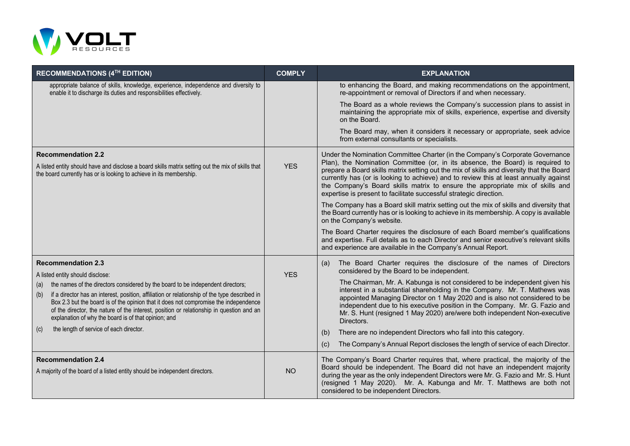

| <b>RECOMMENDATIONS (4TH EDITION)</b>                                                                                                                                                                                                                                                                                                                                                                                                                                           | <b>COMPLY</b> | <b>EXPLANATION</b>                                                                                                                                                                                                                                                                                                                                                                                                                                                                                          |
|--------------------------------------------------------------------------------------------------------------------------------------------------------------------------------------------------------------------------------------------------------------------------------------------------------------------------------------------------------------------------------------------------------------------------------------------------------------------------------|---------------|-------------------------------------------------------------------------------------------------------------------------------------------------------------------------------------------------------------------------------------------------------------------------------------------------------------------------------------------------------------------------------------------------------------------------------------------------------------------------------------------------------------|
| appropriate balance of skills, knowledge, experience, independence and diversity to<br>enable it to discharge its duties and responsibilities effectively.                                                                                                                                                                                                                                                                                                                     |               | to enhancing the Board, and making recommendations on the appointment,<br>re-appointment or removal of Directors if and when necessary.                                                                                                                                                                                                                                                                                                                                                                     |
|                                                                                                                                                                                                                                                                                                                                                                                                                                                                                |               | The Board as a whole reviews the Company's succession plans to assist in<br>maintaining the appropriate mix of skills, experience, expertise and diversity<br>on the Board.                                                                                                                                                                                                                                                                                                                                 |
|                                                                                                                                                                                                                                                                                                                                                                                                                                                                                |               | The Board may, when it considers it necessary or appropriate, seek advice<br>from external consultants or specialists.                                                                                                                                                                                                                                                                                                                                                                                      |
| <b>Recommendation 2.2</b><br>A listed entity should have and disclose a board skills matrix setting out the mix of skills that<br>the board currently has or is looking to achieve in its membership.                                                                                                                                                                                                                                                                          | <b>YES</b>    | Under the Nomination Committee Charter (in the Company's Corporate Governance<br>Plan), the Nomination Committee (or, in its absence, the Board) is required to<br>prepare a Board skills matrix setting out the mix of skills and diversity that the Board<br>currently has (or is looking to achieve) and to review this at least annually against<br>the Company's Board skills matrix to ensure the appropriate mix of skills and<br>expertise is present to facilitate successful strategic direction. |
|                                                                                                                                                                                                                                                                                                                                                                                                                                                                                |               | The Company has a Board skill matrix setting out the mix of skills and diversity that<br>the Board currently has or is looking to achieve in its membership. A copy is available<br>on the Company's website.                                                                                                                                                                                                                                                                                               |
|                                                                                                                                                                                                                                                                                                                                                                                                                                                                                |               | The Board Charter requires the disclosure of each Board member's qualifications<br>and expertise. Full details as to each Director and senior executive's relevant skills<br>and experience are available in the Company's Annual Report.                                                                                                                                                                                                                                                                   |
| <b>Recommendation 2.3</b>                                                                                                                                                                                                                                                                                                                                                                                                                                                      |               | The Board Charter requires the disclosure of the names of Directors<br>(a)<br>considered by the Board to be independent.                                                                                                                                                                                                                                                                                                                                                                                    |
| A listed entity should disclose:<br>the names of the directors considered by the board to be independent directors;<br>(a)<br>if a director has an interest, position, affiliation or relationship of the type described in<br>(b)<br>Box 2.3 but the board is of the opinion that it does not compromise the independence<br>of the director, the nature of the interest, position or relationship in question and an<br>explanation of why the board is of that opinion; and | <b>YES</b>    | The Chairman, Mr. A. Kabunga is not considered to be independent given his<br>interest in a substantial shareholding in the Company. Mr. T. Mathews was<br>appointed Managing Director on 1 May 2020 and is also not considered to be<br>independent due to his executive position in the Company. Mr. G. Fazio and<br>Mr. S. Hunt (resigned 1 May 2020) are/were both independent Non-executive<br>Directors.                                                                                              |
| the length of service of each director.<br>(c)                                                                                                                                                                                                                                                                                                                                                                                                                                 |               | There are no independent Directors who fall into this category.<br>(b)<br>The Company's Annual Report discloses the length of service of each Director.<br>(c)                                                                                                                                                                                                                                                                                                                                              |
| <b>Recommendation 2.4</b><br>A majority of the board of a listed entity should be independent directors.                                                                                                                                                                                                                                                                                                                                                                       | <b>NO</b>     | The Company's Board Charter requires that, where practical, the majority of the<br>Board should be independent. The Board did not have an independent majority<br>during the year as the only independent Directors were Mr. G. Fazio and Mr. S. Hunt<br>(resigned 1 May 2020). Mr. A. Kabunga and Mr. T. Matthews are both not<br>considered to be independent Directors.                                                                                                                                  |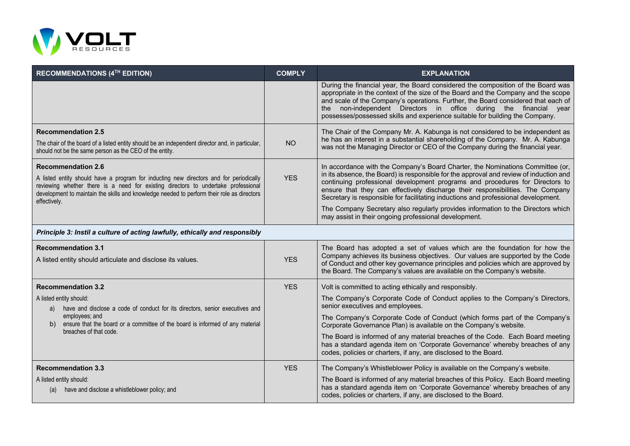

| <b>RECOMMENDATIONS (4TH EDITION)</b>                                                                                                                                                                                                                                                                                    | <b>COMPLY</b> | <b>EXPLANATION</b>                                                                                                                                                                                                                                                                                                                                                                                                                                                                                                                                                            |  |
|-------------------------------------------------------------------------------------------------------------------------------------------------------------------------------------------------------------------------------------------------------------------------------------------------------------------------|---------------|-------------------------------------------------------------------------------------------------------------------------------------------------------------------------------------------------------------------------------------------------------------------------------------------------------------------------------------------------------------------------------------------------------------------------------------------------------------------------------------------------------------------------------------------------------------------------------|--|
|                                                                                                                                                                                                                                                                                                                         |               | During the financial year, the Board considered the composition of the Board was<br>appropriate in the context of the size of the Board and the Company and the scope<br>and scale of the Company's operations. Further, the Board considered that each of<br>the non-independent Directors in office during the financial year<br>possesses/possessed skills and experience suitable for building the Company.                                                                                                                                                               |  |
| <b>Recommendation 2.5</b><br>The chair of the board of a listed entity should be an independent director and, in particular,<br>should not be the same person as the CEO of the entity.                                                                                                                                 | <b>NO</b>     | The Chair of the Company Mr. A. Kabunga is not considered to be independent as<br>he has an interest in a substantial shareholding of the Company. Mr. A. Kabunga<br>was not the Managing Director or CEO of the Company during the financial year.                                                                                                                                                                                                                                                                                                                           |  |
| <b>Recommendation 2.6</b><br>A listed entity should have a program for inducting new directors and for periodically<br>reviewing whether there is a need for existing directors to undertake professional<br>development to maintain the skills and knowledge needed to perform their role as directors<br>effectively. | <b>YES</b>    | In accordance with the Company's Board Charter, the Nominations Committee (or,<br>in its absence, the Board) is responsible for the approval and review of induction and<br>continuing professional development programs and procedures for Directors to<br>ensure that they can effectively discharge their responsibilities. The Company<br>Secretary is responsible for facilitating inductions and professional development.<br>The Company Secretary also regularly provides information to the Directors which<br>may assist in their ongoing professional development. |  |
| Principle 3: Instil a culture of acting lawfully, ethically and responsibly                                                                                                                                                                                                                                             |               |                                                                                                                                                                                                                                                                                                                                                                                                                                                                                                                                                                               |  |
| <b>Recommendation 3.1</b><br>A listed entity should articulate and disclose its values.                                                                                                                                                                                                                                 | <b>YES</b>    | The Board has adopted a set of values which are the foundation for how the<br>Company achieves its business objectives. Our values are supported by the Code<br>of Conduct and other key governance principles and policies which are approved by<br>the Board. The Company's values are available on the Company's website.                                                                                                                                                                                                                                                  |  |
| <b>Recommendation 3.2</b>                                                                                                                                                                                                                                                                                               | <b>YES</b>    | Volt is committed to acting ethically and responsibly.                                                                                                                                                                                                                                                                                                                                                                                                                                                                                                                        |  |
| A listed entity should:<br>have and disclose a code of conduct for its directors, senior executives and<br>a)                                                                                                                                                                                                           |               | The Company's Corporate Code of Conduct applies to the Company's Directors,<br>senior executives and employees.                                                                                                                                                                                                                                                                                                                                                                                                                                                               |  |
| employees; and<br>ensure that the board or a committee of the board is informed of any material<br>b)                                                                                                                                                                                                                   |               | The Company's Corporate Code of Conduct (which forms part of the Company's<br>Corporate Governance Plan) is available on the Company's website.                                                                                                                                                                                                                                                                                                                                                                                                                               |  |
| breaches of that code.                                                                                                                                                                                                                                                                                                  |               | The Board is informed of any material breaches of the Code. Each Board meeting<br>has a standard agenda item on 'Corporate Governance' whereby breaches of any<br>codes, policies or charters, if any, are disclosed to the Board.                                                                                                                                                                                                                                                                                                                                            |  |
| <b>Recommendation 3.3</b>                                                                                                                                                                                                                                                                                               | <b>YES</b>    | The Company's Whistleblower Policy is available on the Company's website.                                                                                                                                                                                                                                                                                                                                                                                                                                                                                                     |  |
| A listed entity should:<br>have and disclose a whistleblower policy; and<br>(a)                                                                                                                                                                                                                                         |               | The Board is informed of any material breaches of this Policy. Each Board meeting<br>has a standard agenda item on 'Corporate Governance' whereby breaches of any<br>codes, policies or charters, if any, are disclosed to the Board.                                                                                                                                                                                                                                                                                                                                         |  |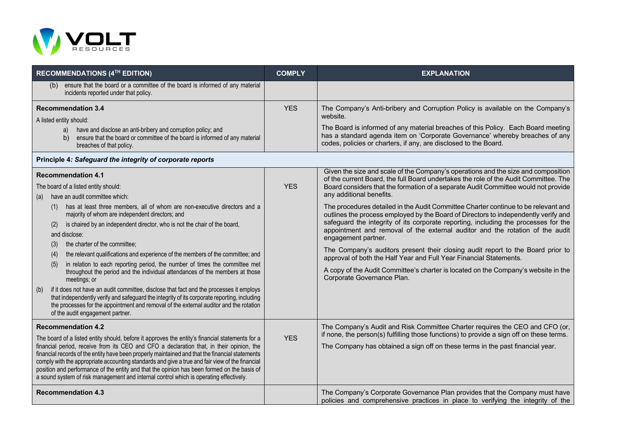

| RECOMMENDATIONS (4TH EDITION)                                                                                                                                                                                                                                                                                                                                                                                                                                                                                                                                                                                                                                                                                                                                                                                                                                                                                                                                                                                 | <b>COMPLY</b> | <b>EXPLANATION</b>                                                                                                                                                                                                                                                                                                                                                                                                                                                                                                                                                                                                                                                                                                                                                                                                                                                                                                                                   |
|---------------------------------------------------------------------------------------------------------------------------------------------------------------------------------------------------------------------------------------------------------------------------------------------------------------------------------------------------------------------------------------------------------------------------------------------------------------------------------------------------------------------------------------------------------------------------------------------------------------------------------------------------------------------------------------------------------------------------------------------------------------------------------------------------------------------------------------------------------------------------------------------------------------------------------------------------------------------------------------------------------------|---------------|------------------------------------------------------------------------------------------------------------------------------------------------------------------------------------------------------------------------------------------------------------------------------------------------------------------------------------------------------------------------------------------------------------------------------------------------------------------------------------------------------------------------------------------------------------------------------------------------------------------------------------------------------------------------------------------------------------------------------------------------------------------------------------------------------------------------------------------------------------------------------------------------------------------------------------------------------|
| ensure that the board or a committee of the board is informed of any material<br>(b)<br>incidents reported under that policy.                                                                                                                                                                                                                                                                                                                                                                                                                                                                                                                                                                                                                                                                                                                                                                                                                                                                                 |               |                                                                                                                                                                                                                                                                                                                                                                                                                                                                                                                                                                                                                                                                                                                                                                                                                                                                                                                                                      |
| <b>Recommendation 3.4</b><br>A listed entity should:<br>have and disclose an anti-bribery and corruption policy; and<br>a)<br>ensure that the board or committee of the board is informed of any material<br>b)<br>breaches of that policy.                                                                                                                                                                                                                                                                                                                                                                                                                                                                                                                                                                                                                                                                                                                                                                   | <b>YES</b>    | The Company's Anti-bribery and Corruption Policy is available on the Company's<br>website.<br>The Board is informed of any material breaches of this Policy. Each Board meeting<br>has a standard agenda item on 'Corporate Governance' whereby breaches of any<br>codes, policies or charters, if any, are disclosed to the Board.                                                                                                                                                                                                                                                                                                                                                                                                                                                                                                                                                                                                                  |
| Principle 4: Safeguard the integrity of corporate reports                                                                                                                                                                                                                                                                                                                                                                                                                                                                                                                                                                                                                                                                                                                                                                                                                                                                                                                                                     |               |                                                                                                                                                                                                                                                                                                                                                                                                                                                                                                                                                                                                                                                                                                                                                                                                                                                                                                                                                      |
| <b>Recommendation 4.1</b><br>The board of a listed entity should:<br>have an audit committee which:<br>(a)<br>has at least three members, all of whom are non-executive directors and a<br>(1)<br>majority of whom are independent directors; and<br>is chaired by an independent director, who is not the chair of the board,<br>(2)<br>and disclose:<br>the charter of the committee;<br>(3)<br>the relevant qualifications and experience of the members of the committee; and<br>(4)<br>in relation to each reporting period, the number of times the committee met<br>(5)<br>throughout the period and the individual attendances of the members at those<br>meetings; or<br>(b)<br>if it does not have an audit committee, disclose that fact and the processes it employs<br>that independently verify and safeguard the integrity of its corporate reporting, including<br>the processes for the appointment and removal of the external auditor and the rotation<br>of the audit engagement partner. | <b>YES</b>    | Given the size and scale of the Company's operations and the size and composition<br>of the current Board, the full Board undertakes the role of the Audit Committee. The<br>Board considers that the formation of a separate Audit Committee would not provide<br>any additional benefits.<br>The procedures detailed in the Audit Committee Charter continue to be relevant and<br>outlines the process employed by the Board of Directors to independently verify and<br>safeguard the integrity of its corporate reporting, including the processes for the<br>appointment and removal of the external auditor and the rotation of the audit<br>engagement partner.<br>The Company's auditors present their closing audit report to the Board prior to<br>approval of both the Half Year and Full Year Financial Statements.<br>A copy of the Audit Committee's charter is located on the Company's website in the<br>Corporate Governance Plan. |
| <b>Recommendation 4.2</b><br>The board of a listed entity should, before it approves the entity's financial statements for a<br>financial period, receive from its CEO and CFO a declaration that, in their opinion, the<br>financial records of the entity have been properly maintained and that the financial statements<br>comply with the appropriate accounting standards and give a true and fair view of the financial<br>position and performance of the entity and that the opinion has been formed on the basis of<br>a sound system of risk management and internal control which is operating effectively.                                                                                                                                                                                                                                                                                                                                                                                       | <b>YES</b>    | The Company's Audit and Risk Committee Charter requires the CEO and CFO (or,<br>if none, the person(s) fulfilling those functions) to provide a sign off on these terms.<br>The Company has obtained a sign off on these terms in the past financial year.                                                                                                                                                                                                                                                                                                                                                                                                                                                                                                                                                                                                                                                                                           |
| <b>Recommendation 4.3</b>                                                                                                                                                                                                                                                                                                                                                                                                                                                                                                                                                                                                                                                                                                                                                                                                                                                                                                                                                                                     |               | The Company's Corporate Governance Plan provides that the Company must have<br>policies and comprehensive practices in place to verifying the integrity of the                                                                                                                                                                                                                                                                                                                                                                                                                                                                                                                                                                                                                                                                                                                                                                                       |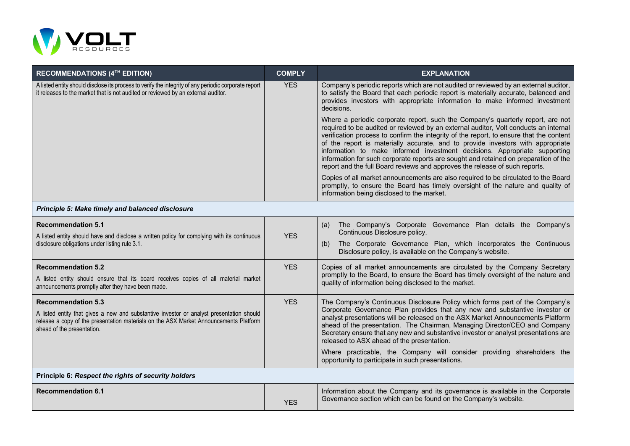

| <b>RECOMMENDATIONS (4TH EDITION)</b>                                                                                                                                                                            | <b>COMPLY</b> | <b>EXPLANATION</b>                                                                                                                                                                                                                                                                                                                                                                                                                                                                                                                                                                                        |
|-----------------------------------------------------------------------------------------------------------------------------------------------------------------------------------------------------------------|---------------|-----------------------------------------------------------------------------------------------------------------------------------------------------------------------------------------------------------------------------------------------------------------------------------------------------------------------------------------------------------------------------------------------------------------------------------------------------------------------------------------------------------------------------------------------------------------------------------------------------------|
| A listed entity should disclose its process to verify the integrity of any periodic corporate report<br>it releases to the market that is not audited or reviewed by an external auditor.                       | <b>YES</b>    | Company's periodic reports which are not audited or reviewed by an external auditor,<br>to satisfy the Board that each periodic report is materially accurate, balanced and<br>provides investors with appropriate information to make informed investment<br>decisions.                                                                                                                                                                                                                                                                                                                                  |
|                                                                                                                                                                                                                 |               | Where a periodic corporate report, such the Company's quarterly report, are not<br>required to be audited or reviewed by an external auditor, Volt conducts an internal<br>verification process to confirm the integrity of the report, to ensure that the content<br>of the report is materially accurate, and to provide investors with appropriate<br>information to make informed investment decisions. Appropriate supporting<br>information for such corporate reports are sought and retained on preparation of the<br>report and the full Board reviews and approves the release of such reports. |
|                                                                                                                                                                                                                 |               | Copies of all market announcements are also required to be circulated to the Board<br>promptly, to ensure the Board has timely oversight of the nature and quality of<br>information being disclosed to the market.                                                                                                                                                                                                                                                                                                                                                                                       |
| Principle 5: Make timely and balanced disclosure                                                                                                                                                                |               |                                                                                                                                                                                                                                                                                                                                                                                                                                                                                                                                                                                                           |
| <b>Recommendation 5.1</b>                                                                                                                                                                                       |               | The Company's Corporate Governance Plan details the Company's<br>(a)<br>Continuous Disclosure policy.                                                                                                                                                                                                                                                                                                                                                                                                                                                                                                     |
| A listed entity should have and disclose a written policy for complying with its continuous<br>disclosure obligations under listing rule 3.1.                                                                   | <b>YES</b>    | The Corporate Governance Plan, which incorporates the Continuous<br>(b)<br>Disclosure policy, is available on the Company's website.                                                                                                                                                                                                                                                                                                                                                                                                                                                                      |
| <b>Recommendation 5.2</b>                                                                                                                                                                                       | <b>YES</b>    | Copies of all market announcements are circulated by the Company Secretary                                                                                                                                                                                                                                                                                                                                                                                                                                                                                                                                |
| A listed entity should ensure that its board receives copies of all material market<br>announcements promptly after they have been made.                                                                        |               | promptly to the Board, to ensure the Board has timely oversight of the nature and<br>quality of information being disclosed to the market.                                                                                                                                                                                                                                                                                                                                                                                                                                                                |
| <b>Recommendation 5.3</b>                                                                                                                                                                                       | <b>YES</b>    | The Company's Continuous Disclosure Policy which forms part of the Company's                                                                                                                                                                                                                                                                                                                                                                                                                                                                                                                              |
| A listed entity that gives a new and substantive investor or analyst presentation should<br>release a copy of the presentation materials on the ASX Market Announcements Platform<br>ahead of the presentation. |               | Corporate Governance Plan provides that any new and substantive investor or<br>analyst presentations will be released on the ASX Market Announcements Platform<br>ahead of the presentation. The Chairman, Managing Director/CEO and Company<br>Secretary ensure that any new and substantive investor or analyst presentations are<br>released to ASX ahead of the presentation.                                                                                                                                                                                                                         |
|                                                                                                                                                                                                                 |               | Where practicable, the Company will consider providing shareholders the<br>opportunity to participate in such presentations.                                                                                                                                                                                                                                                                                                                                                                                                                                                                              |

**Principle 6:** *Respect the rights of security holders*

| <b>YES</b> | <b>Recommendation 6.1</b> | I Information about the Company and its governance is available in the Corporate<br>Governance section which can be found on the Company's website. |
|------------|---------------------------|-----------------------------------------------------------------------------------------------------------------------------------------------------|
|------------|---------------------------|-----------------------------------------------------------------------------------------------------------------------------------------------------|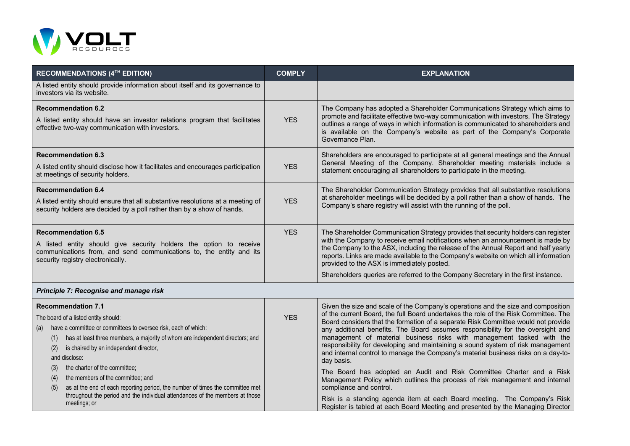

|                                                                                                                                                                                                                                                                                                                                                                                                                                                                                                                                                                                  |            | <b>EXPLANATION</b>                                                                                                                                                                                                                                                                                                                                                                                                                                                                                                                                                                                                                                                                                                                                                                                                                                                                                                                                                |
|----------------------------------------------------------------------------------------------------------------------------------------------------------------------------------------------------------------------------------------------------------------------------------------------------------------------------------------------------------------------------------------------------------------------------------------------------------------------------------------------------------------------------------------------------------------------------------|------------|-------------------------------------------------------------------------------------------------------------------------------------------------------------------------------------------------------------------------------------------------------------------------------------------------------------------------------------------------------------------------------------------------------------------------------------------------------------------------------------------------------------------------------------------------------------------------------------------------------------------------------------------------------------------------------------------------------------------------------------------------------------------------------------------------------------------------------------------------------------------------------------------------------------------------------------------------------------------|
| A listed entity should provide information about itself and its governance to<br>investors via its website.                                                                                                                                                                                                                                                                                                                                                                                                                                                                      |            |                                                                                                                                                                                                                                                                                                                                                                                                                                                                                                                                                                                                                                                                                                                                                                                                                                                                                                                                                                   |
| <b>Recommendation 6.2</b><br>A listed entity should have an investor relations program that facilitates<br>effective two-way communication with investors.                                                                                                                                                                                                                                                                                                                                                                                                                       | <b>YES</b> | The Company has adopted a Shareholder Communications Strategy which aims to<br>promote and facilitate effective two-way communication with investors. The Strategy<br>outlines a range of ways in which information is communicated to shareholders and<br>is available on the Company's website as part of the Company's Corporate<br>Governance Plan.                                                                                                                                                                                                                                                                                                                                                                                                                                                                                                                                                                                                           |
| <b>Recommendation 6.3</b><br>A listed entity should disclose how it facilitates and encourages participation<br>at meetings of security holders.                                                                                                                                                                                                                                                                                                                                                                                                                                 | <b>YES</b> | Shareholders are encouraged to participate at all general meetings and the Annual<br>General Meeting of the Company. Shareholder meeting materials include a<br>statement encouraging all shareholders to participate in the meeting.                                                                                                                                                                                                                                                                                                                                                                                                                                                                                                                                                                                                                                                                                                                             |
| <b>Recommendation 6.4</b><br>A listed entity should ensure that all substantive resolutions at a meeting of<br>security holders are decided by a poll rather than by a show of hands.                                                                                                                                                                                                                                                                                                                                                                                            | <b>YES</b> | The Shareholder Communication Strategy provides that all substantive resolutions<br>at shareholder meetings will be decided by a poll rather than a show of hands. The<br>Company's share registry will assist with the running of the poll.                                                                                                                                                                                                                                                                                                                                                                                                                                                                                                                                                                                                                                                                                                                      |
| <b>Recommendation 6.5</b><br>A listed entity should give security holders the option to receive<br>communications from, and send communications to, the entity and its<br>security registry electronically.                                                                                                                                                                                                                                                                                                                                                                      | <b>YES</b> | The Shareholder Communication Strategy provides that security holders can register<br>with the Company to receive email notifications when an announcement is made by<br>the Company to the ASX, including the release of the Annual Report and half yearly<br>reports. Links are made available to the Company's website on which all information<br>provided to the ASX is immediately posted.                                                                                                                                                                                                                                                                                                                                                                                                                                                                                                                                                                  |
|                                                                                                                                                                                                                                                                                                                                                                                                                                                                                                                                                                                  |            | Shareholders queries are referred to the Company Secretary in the first instance.                                                                                                                                                                                                                                                                                                                                                                                                                                                                                                                                                                                                                                                                                                                                                                                                                                                                                 |
| Principle 7: Recognise and manage risk                                                                                                                                                                                                                                                                                                                                                                                                                                                                                                                                           |            |                                                                                                                                                                                                                                                                                                                                                                                                                                                                                                                                                                                                                                                                                                                                                                                                                                                                                                                                                                   |
| <b>Recommendation 7.1</b><br>The board of a listed entity should:<br>have a committee or committees to oversee risk, each of which:<br>(a)<br>has at least three members, a majority of whom are independent directors; and<br>(1)<br>is chaired by an independent director,<br>(2)<br>and disclose:<br>the charter of the committee;<br>(3)<br>the members of the committee; and<br>(4)<br>as at the end of each reporting period, the number of times the committee met<br>(5)<br>throughout the period and the individual attendances of the members at those<br>meetings; or | <b>YES</b> | Given the size and scale of the Company's operations and the size and composition<br>of the current Board, the full Board undertakes the role of the Risk Committee. The<br>Board considers that the formation of a separate Risk Committee would not provide<br>any additional benefits. The Board assumes responsibility for the oversight and<br>management of material business risks with management tasked with the<br>responsibility for developing and maintaining a sound system of risk management<br>and internal control to manage the Company's material business risks on a day-to-<br>day basis.<br>The Board has adopted an Audit and Risk Committee Charter and a Risk<br>Management Policy which outlines the process of risk management and internal<br>compliance and control.<br>Risk is a standing agenda item at each Board meeting. The Company's Risk<br>Register is tabled at each Board Meeting and presented by the Managing Director |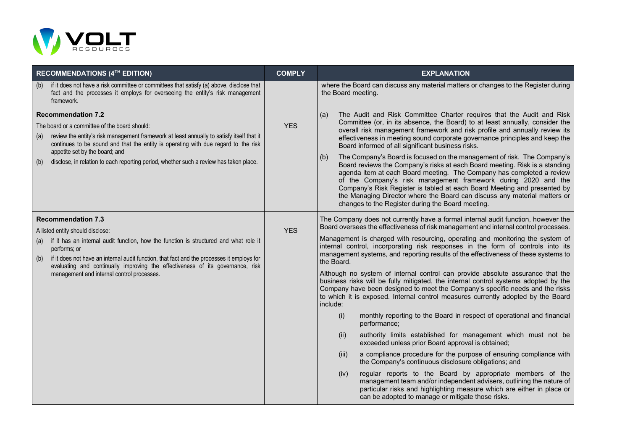

|            | <b>RECOMMENDATIONS (4TH EDITION)</b>                                                                                                                                                                                                                                                                                                                                                                     | <b>COMPLY</b> | <b>EXPLANATION</b>                                                                                                                                                                                                                                                                                                                                                                                                                                                                                                                                                                                                                                                                                                                                                                                                                                                                                                                                                                                                                                                                                                                                                                                                                                                                                                                                                                                                                                            |
|------------|----------------------------------------------------------------------------------------------------------------------------------------------------------------------------------------------------------------------------------------------------------------------------------------------------------------------------------------------------------------------------------------------------------|---------------|---------------------------------------------------------------------------------------------------------------------------------------------------------------------------------------------------------------------------------------------------------------------------------------------------------------------------------------------------------------------------------------------------------------------------------------------------------------------------------------------------------------------------------------------------------------------------------------------------------------------------------------------------------------------------------------------------------------------------------------------------------------------------------------------------------------------------------------------------------------------------------------------------------------------------------------------------------------------------------------------------------------------------------------------------------------------------------------------------------------------------------------------------------------------------------------------------------------------------------------------------------------------------------------------------------------------------------------------------------------------------------------------------------------------------------------------------------------|
| (b)        | if it does not have a risk committee or committees that satisfy (a) above, disclose that<br>fact and the processes it employs for overseeing the entity's risk management<br>framework.                                                                                                                                                                                                                  |               | where the Board can discuss any material matters or changes to the Register during<br>the Board meeting.                                                                                                                                                                                                                                                                                                                                                                                                                                                                                                                                                                                                                                                                                                                                                                                                                                                                                                                                                                                                                                                                                                                                                                                                                                                                                                                                                      |
| (a)<br>(b) | <b>Recommendation 7.2</b><br>The board or a committee of the board should:<br>review the entity's risk management framework at least annually to satisfy itself that it<br>continues to be sound and that the entity is operating with due regard to the risk<br>appetite set by the board; and<br>disclose, in relation to each reporting period, whether such a review has taken place.                | <b>YES</b>    | The Audit and Risk Committee Charter requires that the Audit and Risk<br>(a)<br>Committee (or, in its absence, the Board) to at least annually, consider the<br>overall risk management framework and risk profile and annually review its<br>effectiveness in meeting sound corporate governance principles and keep the<br>Board informed of all significant business risks.<br>The Company's Board is focused on the management of risk. The Company's<br>(b)<br>Board reviews the Company's risks at each Board meeting. Risk is a standing<br>agenda item at each Board meeting. The Company has completed a review<br>of the Company's risk management framework during 2020 and the<br>Company's Risk Register is tabled at each Board Meeting and presented by<br>the Managing Director where the Board can discuss any material matters or<br>changes to the Register during the Board meeting.                                                                                                                                                                                                                                                                                                                                                                                                                                                                                                                                                      |
| (b)        | <b>Recommendation 7.3</b><br>A listed entity should disclose:<br>(a) if it has an internal audit function, how the function is structured and what role it<br>performs; or<br>if it does not have an internal audit function, that fact and the processes it employs for<br>evaluating and continually improving the effectiveness of its governance, risk<br>management and internal control processes. | <b>YES</b>    | The Company does not currently have a formal internal audit function, however the<br>Board oversees the effectiveness of risk management and internal control processes.<br>Management is charged with resourcing, operating and monitoring the system of<br>internal control, incorporating risk responses in the form of controls into its<br>management systems, and reporting results of the effectiveness of these systems to<br>the Board.<br>Although no system of internal control can provide absolute assurance that the<br>business risks will be fully mitigated, the internal control systems adopted by the<br>Company have been designed to meet the Company's specific needs and the risks<br>to which it is exposed. Internal control measures currently adopted by the Board<br>include:<br>monthly reporting to the Board in respect of operational and financial<br>(i)<br>performance;<br>authority limits established for management which must not be<br>(ii)<br>exceeded unless prior Board approval is obtained;<br>a compliance procedure for the purpose of ensuring compliance with<br>(iii)<br>the Company's continuous disclosure obligations; and<br>(iv)<br>regular reports to the Board by appropriate members of the<br>management team and/or independent advisers, outlining the nature of<br>particular risks and highlighting measure which are either in place or<br>can be adopted to manage or mitigate those risks. |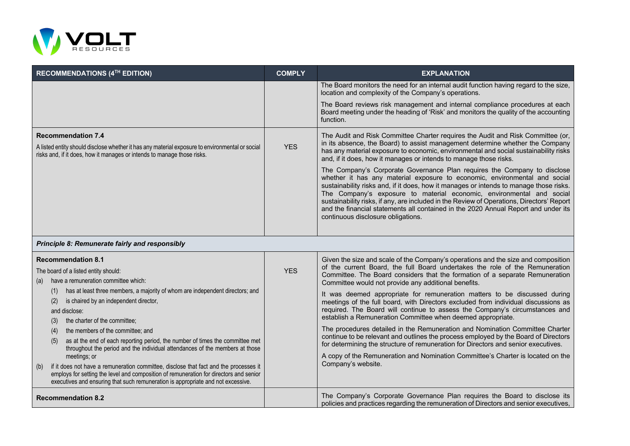

| <b>RECOMMENDATIONS (4TH EDITION)</b>                                                                                                                                                                                                                                                       | <b>COMPLY</b> | <b>EXPLANATION</b>                                                                                                                                                                                                                                                                                                                                                                                                                                                                                                                                 |
|--------------------------------------------------------------------------------------------------------------------------------------------------------------------------------------------------------------------------------------------------------------------------------------------|---------------|----------------------------------------------------------------------------------------------------------------------------------------------------------------------------------------------------------------------------------------------------------------------------------------------------------------------------------------------------------------------------------------------------------------------------------------------------------------------------------------------------------------------------------------------------|
|                                                                                                                                                                                                                                                                                            |               | The Board monitors the need for an internal audit function having regard to the size,<br>location and complexity of the Company's operations.                                                                                                                                                                                                                                                                                                                                                                                                      |
|                                                                                                                                                                                                                                                                                            |               | The Board reviews risk management and internal compliance procedures at each<br>Board meeting under the heading of 'Risk' and monitors the quality of the accounting<br>function.                                                                                                                                                                                                                                                                                                                                                                  |
| <b>Recommendation 7.4</b><br>A listed entity should disclose whether it has any material exposure to environmental or social<br>risks and, if it does, how it manages or intends to manage those risks.                                                                                    | <b>YES</b>    | The Audit and Risk Committee Charter requires the Audit and Risk Committee (or,<br>in its absence, the Board) to assist management determine whether the Company<br>has any material exposure to economic, environmental and social sustainability risks<br>and, if it does, how it manages or intends to manage those risks.                                                                                                                                                                                                                      |
|                                                                                                                                                                                                                                                                                            |               | The Company's Corporate Governance Plan requires the Company to disclose<br>whether it has any material exposure to economic, environmental and social<br>sustainability risks and, if it does, how it manages or intends to manage those risks.<br>The Company's exposure to material economic, environmental and social<br>sustainability risks, if any, are included in the Review of Operations, Directors' Report<br>and the financial statements all contained in the 2020 Annual Report and under its<br>continuous disclosure obligations. |
| Principle 8: Remunerate fairly and responsibly                                                                                                                                                                                                                                             |               |                                                                                                                                                                                                                                                                                                                                                                                                                                                                                                                                                    |
| <b>Recommendation 8.1</b><br>The board of a listed entity should:<br>have a remuneration committee which:<br>(a)                                                                                                                                                                           | <b>YES</b>    | Given the size and scale of the Company's operations and the size and composition<br>of the current Board, the full Board undertakes the role of the Remuneration<br>Committee. The Board considers that the formation of a separate Remuneration<br>Committee would not provide any additional benefits.                                                                                                                                                                                                                                          |
| has at least three members, a majority of whom are independent directors; and<br>(1)<br>is chaired by an independent director,<br>(2)<br>and disclose:<br>the charter of the committee;<br>(3)                                                                                             |               | It was deemed appropriate for remuneration matters to be discussed during<br>meetings of the full board, with Directors excluded from individual discussions as<br>required. The Board will continue to assess the Company's circumstances and<br>establish a Remuneration Committee when deemed appropriate.                                                                                                                                                                                                                                      |
| the members of the committee; and<br>(4)<br>as at the end of each reporting period, the number of times the committee met<br>(5)<br>throughout the period and the individual attendances of the members at those                                                                           |               | The procedures detailed in the Remuneration and Nomination Committee Charter<br>continue to be relevant and outlines the process employed by the Board of Directors<br>for determining the structure of remuneration for Directors and senior executives.                                                                                                                                                                                                                                                                                          |
| meetings; or<br>if it does not have a remuneration committee, disclose that fact and the processes it<br>(b)<br>employs for setting the level and composition of remuneration for directors and senior<br>executives and ensuring that such remuneration is appropriate and not excessive. |               | A copy of the Remuneration and Nomination Committee's Charter is located on the<br>Company's website.                                                                                                                                                                                                                                                                                                                                                                                                                                              |
| <b>Recommendation 8.2</b>                                                                                                                                                                                                                                                                  |               | The Company's Corporate Governance Plan requires the Board to disclose its<br>policies and practices regarding the remuneration of Directors and senior executives,                                                                                                                                                                                                                                                                                                                                                                                |